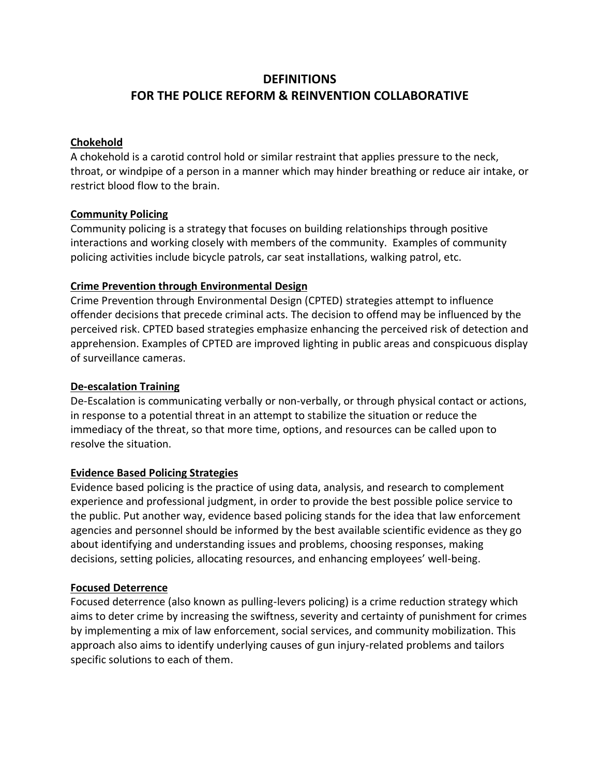# **DEFINITIONS FOR THE POLICE REFORM & REINVENTION COLLABORATIVE**

#### **Chokehold**

A chokehold is a carotid control hold or similar restraint that applies pressure to the neck, throat, or windpipe of a person in a manner which may hinder breathing or reduce air intake, or restrict blood flow to the brain.

## **Community Policing**

Community policing is a strategy that focuses on building relationships through positive interactions and working closely with members of the community. Examples of community policing activities include bicycle patrols, car seat installations, walking patrol, etc.

# **Crime Prevention through Environmental Design**

Crime Prevention through Environmental Design (CPTED) strategies attempt to influence offender decisions that precede criminal acts. The decision to offend may be influenced by the perceived risk. CPTED based strategies emphasize enhancing the perceived risk of detection and apprehension. Examples of CPTED are improved lighting in public areas and conspicuous display of surveillance cameras.

## **De-escalation Training**

De-Escalation is communicating verbally or non-verbally, or through physical contact or actions, in response to a potential threat in an attempt to stabilize the situation or reduce the immediacy of the threat, so that more time, options, and resources can be called upon to resolve the situation.

#### **Evidence Based Policing Strategies**

Evidence based policing is the practice of using data, analysis, and research to complement experience and professional judgment, in order to provide the best possible police service to the public. Put another way, evidence based policing stands for the idea that law enforcement agencies and personnel should be informed by the best available scientific evidence as they go about identifying and understanding issues and problems, choosing responses, making decisions, setting policies, allocating resources, and enhancing employees' well-being.

# **Focused Deterrence**

Focused deterrence (also known as pulling-levers policing) is a crime reduction strategy which aims to deter crime by increasing the swiftness, severity and certainty of punishment for crimes by implementing a mix of law enforcement, social services, and community mobilization. This approach also aims to identify underlying causes of gun injury-related problems and tailors specific solutions to each of them.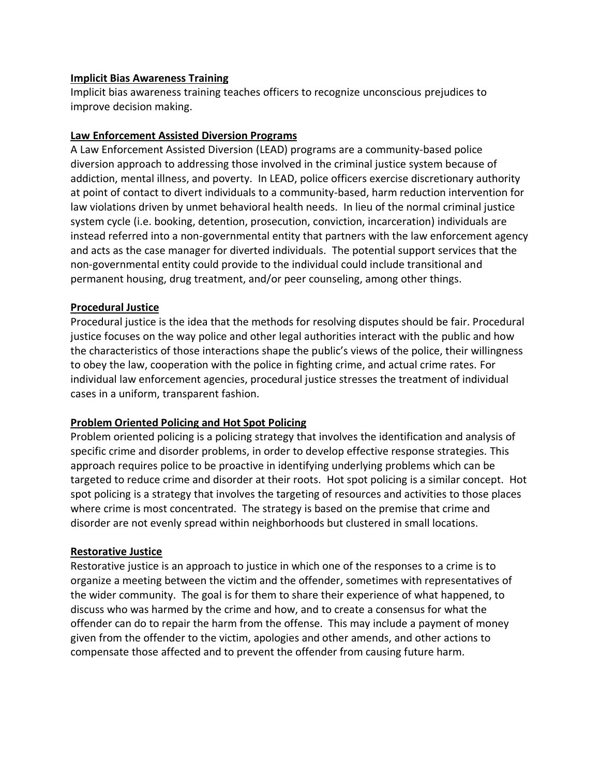#### **Implicit Bias Awareness Training**

Implicit bias awareness training teaches officers to recognize unconscious prejudices to improve decision making.

#### **Law Enforcement Assisted Diversion Programs**

A Law Enforcement Assisted Diversion (LEAD) programs are a community-based police diversion approach to addressing those involved in the criminal justice system because of addiction, mental illness, and poverty. In LEAD, police officers exercise discretionary authority at point of contact to divert individuals to a community-based, harm reduction intervention for law violations driven by unmet behavioral health needs. In lieu of the normal criminal justice system cycle (i.e. booking, detention, prosecution, conviction, incarceration) individuals are instead referred into a non-governmental entity that partners with the law enforcement agency and acts as the case manager for diverted individuals. The potential support services that the non-governmental entity could provide to the individual could include transitional and permanent housing, drug treatment, and/or peer counseling, among other things.

## **Procedural Justice**

Procedural justice is the idea that the methods for resolving disputes should be fair. Procedural justice focuses on the way police and other legal authorities interact with the public and how the characteristics of those interactions shape the public's views of the police, their willingness to obey the law, cooperation with the police in fighting crime, and actual crime rates. For individual law enforcement agencies, procedural justice stresses the treatment of individual cases in a uniform, transparent fashion.

# **Problem Oriented Policing and Hot Spot Policing**

Problem oriented policing is a policing strategy that involves the identification and analysis of specific crime and disorder problems, in order to develop effective response strategies. This approach requires police to be proactive in identifying underlying problems which can be targeted to reduce crime and disorder at their roots. Hot spot policing is a similar concept. Hot spot policing is a strategy that involves the targeting of resources and activities to those places where crime is most concentrated. The strategy is based on the premise that crime and disorder are not evenly spread within neighborhoods but clustered in small locations.

#### **Restorative Justice**

Restorative justice is an approach to justice in which one of the responses to a crime is to organize a meeting between the victim and the offender, sometimes with representatives of the wider community. The goal is for them to share their experience of what happened, to discuss who was harmed by the crime and how, and to create a consensus for what the offender can do to repair the harm from the offense. This may include a payment of money given from the offender to the victim, apologies and other amends, and other actions to compensate those affected and to prevent the offender from causing future harm.